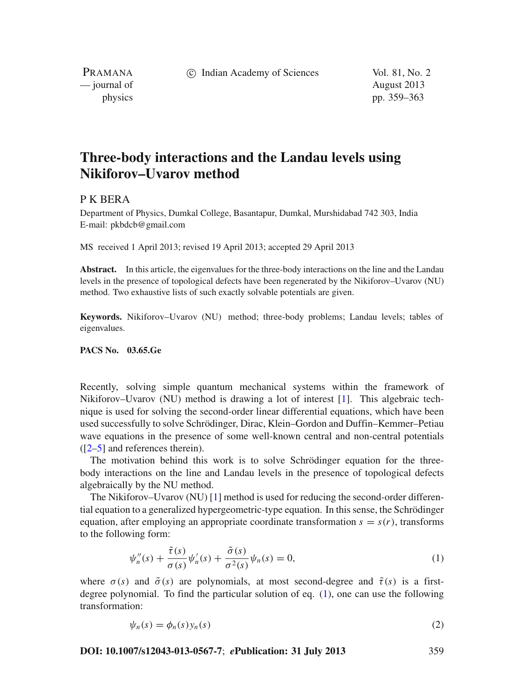(c) Indian Academy of Sciences Vol. 81, No. 2

PRAMANA — journal of August 2013

physics pp. 359–363

# **Three-body interactions and the Landau levels using Nikiforov–Uvarov method**

# P K BERA

Department of Physics, Dumkal College, Basantapur, Dumkal, Murshidabad 742 303, India E-mail: pkbdcb@gmail.com

MS received 1 April 2013; revised 19 April 2013; accepted 29 April 2013

**Abstract.** In this article, the eigenvalues for the three-body interactions on the line and the Landau levels in the presence of topological defects have been regenerated by the Nikiforov–Uvarov (NU) method. Two exhaustive lists of such exactly solvable potentials are given.

**Keywords.** Nikiforov–Uvarov (NU) method; three-body problems; Landau levels; tables of eigenvalues.

### **PACS No. 03.65.Ge**

Recently, solving simple quantum mechanical systems within the framework of Nikiforov–Uvarov (NU) method is drawing a lot of interest [\[1](#page-4-0)]. This algebraic technique is used for solving the second-order linear differential equations, which have been used successfully to solve Schrödinger, Dirac, Klein–Gordon and Duffin–Kemmer–Petiau wave equations in the presence of some well-known central and non-central potentials ([\[2](#page-4-1)[–5\]](#page-4-2) and references therein).

The motivation behind this work is to solve Schrödinger equation for the threebody interactions on the line and Landau levels in the presence of topological defects algebraically by the NU method.

The Nikiforov–Uvarov (NU) [\[1](#page-4-0)] method is used for reducing the second-order differential equation to a generalized hypergeometric-type equation. In this sense, the Schrödinger equation, after employing an appropriate coordinate transformation  $s = s(r)$ , transforms to the following form:

<span id="page-0-0"></span>
$$
\psi_n''(s) + \frac{\tilde{\tau}(s)}{\sigma(s)} \psi_n'(s) + \frac{\tilde{\sigma}(s)}{\sigma^2(s)} \psi_n(s) = 0,
$$
\n(1)

where  $\sigma(s)$  and  $\tilde{\sigma}(s)$  are polynomials, at most second-degree and  $\tilde{\tau}(s)$  is a firstdegree polynomial. To find the particular solution of eq. [\(1\)](#page-0-0), one can use the following transformation:

$$
\psi_n(s) = \phi_n(s) y_n(s) \tag{2}
$$

**DOI: 10.1007/s12043-013-0567-7**; *e***Publication: 31 July 2013** 359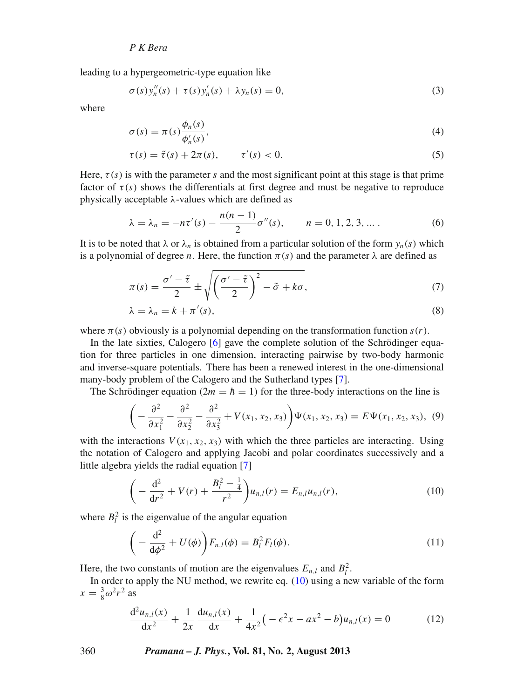## *P K Bera*

leading to a hypergeometric-type equation like

$$
\sigma(s)y_n''(s) + \tau(s)y_n'(s) + \lambda y_n(s) = 0,
$$
\n(3)

where

$$
\sigma(s) = \pi(s) \frac{\phi_n(s)}{\phi'_n(s)},\tag{4}
$$

$$
\tau(s) = \tilde{\tau}(s) + 2\pi(s), \qquad \tau'(s) < 0. \tag{5}
$$

Here,  $\tau(s)$  is with the parameter *s* and the most significant point at this stage is that prime factor of  $\tau(s)$  shows the differentials at first degree and must be negative to reproduce physically acceptable λ-values which are defined as

<span id="page-1-2"></span>
$$
\lambda = \lambda_n = -n\tau'(s) - \frac{n(n-1)}{2}\sigma''(s), \qquad n = 0, 1, 2, 3, \dots
$$
 (6)

It is to be noted that  $\lambda$  or  $\lambda_n$  is obtained from a particular solution of the form  $y_n(s)$  which is a polynomial of degree *n*. Here, the function  $\pi(s)$  and the parameter  $\lambda$  are defined as

$$
\pi(s) = \frac{\sigma' - \tilde{\tau}}{2} \pm \sqrt{\left(\frac{\sigma' - \tilde{\tau}}{2}\right)^2 - \tilde{\sigma} + k\sigma},\tag{7}
$$

$$
\lambda = \lambda_n = k + \pi'(s),\tag{8}
$$

<span id="page-1-3"></span>where  $\pi(s)$  obviously is a polynomial depending on the transformation function  $s(r)$ .

In the late sixties, Calogero [\[6](#page-4-3)] gave the complete solution of the Schrödinger equation for three particles in one dimension, interacting pairwise by two-body harmonic and inverse-square potentials. There has been a renewed interest in the one-dimensional many-body problem of the Calogero and the Sutherland types [\[7\]](#page-4-4).

The Schrödinger equation ( $2m = \hbar = 1$ ) for the three-body interactions on the line is

$$
\left(-\frac{\partial^2}{\partial x_1^2} - \frac{\partial^2}{\partial x_2^2} - \frac{\partial^2}{\partial x_3^2} + V(x_1, x_2, x_3)\right) \Psi(x_1, x_2, x_3) = E \Psi(x_1, x_2, x_3), \tag{9}
$$

with the interactions  $V(x_1, x_2, x_3)$  with which the three particles are interacting. Using the notation of Calogero and applying Jacobi and polar coordinates successively and a little algebra yields the radial equation [\[7\]](#page-4-4)

<span id="page-1-0"></span>
$$
\left(-\frac{d^2}{dr^2} + V(r) + \frac{B_l^2 - \frac{1}{4}}{r^2}\right)u_{n,l}(r) = E_{n,l}u_{n,l}(r),\tag{10}
$$

where  $B_l^2$  is the eigenvalue of the angular equation

<span id="page-1-4"></span>
$$
\left(-\frac{\mathrm{d}^2}{\mathrm{d}\phi^2} + U(\phi)\right)F_{n,l}(\phi) = B_l^2 F_l(\phi). \tag{11}
$$

Here, the two constants of motion are the eigenvalues  $E_{n,l}$  and  $B_l^2$ .

In order to apply the NU method, we rewrite eq.  $(10)$  using a new variable of the form  $x = \frac{3}{8}\omega^2 r^2$  as

<span id="page-1-1"></span>
$$
\frac{d^2 u_{n,l}(x)}{dx^2} + \frac{1}{2x} \frac{du_{n,l}(x)}{dx} + \frac{1}{4x^2} \left( -\epsilon^2 x - ax^2 - b \right) u_{n,l}(x) = 0 \tag{12}
$$

360 *Pramana – J. Phys.***, Vol. 81, No. 2, August 2013**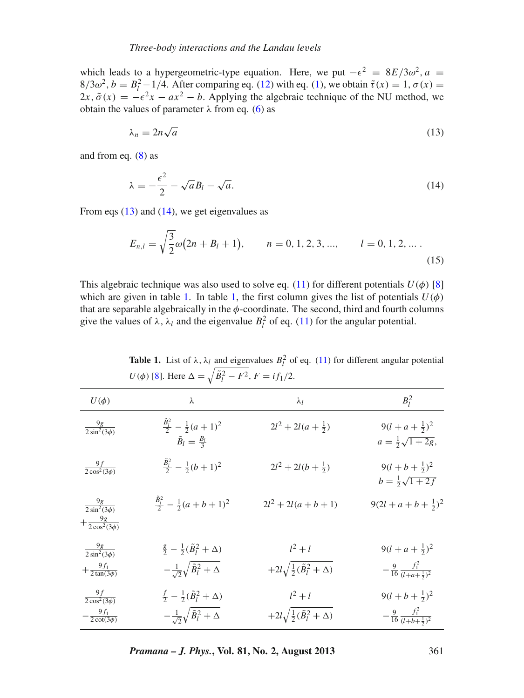which leads to a hypergeometric-type equation. Here, we put  $-\epsilon^2 = 8E/3\omega^2$ ,  $a =$  $8/3\omega^2$ ,  $b = B_l^2 - 1/4$ . After comparing eq. [\(12\)](#page-1-1) with eq. [\(1\)](#page-0-0), we obtain  $\tilde{\tau}(x) = 1$ ,  $\sigma(x) =$  $2x$ ,  $\tilde{\sigma}(x) = -\epsilon^2 x - ax^2 - b$ . Applying the algebraic technique of the NU method, we obtain the values of parameter  $\lambda$  from eq. [\(6\)](#page-1-2) as

<span id="page-2-0"></span>
$$
\lambda_n = 2n\sqrt{a} \tag{13}
$$

and from eq.  $(8)$  as

<span id="page-2-1"></span>
$$
\lambda = -\frac{\epsilon^2}{2} - \sqrt{a}B_l - \sqrt{a}.\tag{14}
$$

From eqs  $(13)$  and  $(14)$ , we get eigenvalues as

$$
E_{n,l} = \sqrt{\frac{3}{2}}\omega(2n + B_l + 1), \qquad n = 0, 1, 2, 3, ..., \qquad l = 0, 1, 2, ... \qquad (15)
$$

This algebraic technique was also used to solve eq. [\(11\)](#page-1-4) for different potentials  $U(\phi)$  [\[8\]](#page-4-5) which are given in table [1.](#page-2-2) In table [1,](#page-2-2) the first column gives the list of potentials  $U(\phi)$ that are separable algebraically in the  $\phi$ -coordinate. The second, third and fourth columns give the values of  $\lambda$ ,  $\lambda_l$  and the eigenvalue  $B_l^2$  of eq. [\(11\)](#page-1-4) for the angular potential.

<span id="page-2-2"></span>

| $U(\phi)$                                                   | λ                                                                                                           | $\lambda_l$                                              | $B_i^2$                                                                    |
|-------------------------------------------------------------|-------------------------------------------------------------------------------------------------------------|----------------------------------------------------------|----------------------------------------------------------------------------|
| $\frac{9g}{2\sin^2(3\phi)}$                                 | $\frac{B_l^2}{2} - \frac{1}{2}(a+1)^2$<br>$\tilde{B}_l = \frac{B_l}{3}$                                     | $2l^2 + 2l(a + \frac{1}{2})$                             | $9(l+a+\frac{1}{2})^2$<br>$a = \frac{1}{2}\sqrt{1+2g}$ ,                   |
| $\frac{9f}{2\cos^2(3\phi)}$                                 | $\frac{B_1^2}{2} - \frac{1}{2}(b+1)^2$                                                                      | $2l^2 + 2l(b + \frac{1}{2})$                             | $9(l+b+\frac{1}{2})^2$<br>$b = \frac{1}{2}\sqrt{1+2f}$                     |
| $\frac{9g}{2\sin^2(3\phi)}$<br>$+\frac{9g}{2\cos^2(3\phi)}$ | $\frac{B_l^2}{2} - \frac{1}{2}(a+b+1)^2$                                                                    | $2l^2 + 2l(a+b+1)$                                       | $9(2l + a + b + \frac{1}{2})^2$                                            |
| $\frac{9g}{2\sin^2(3\phi)}$<br>$+\frac{9f_1}{2\tan(3\phi)}$ | $\frac{g}{2} - \frac{1}{2}(\tilde{B}_{1}^{2} + \Delta)$<br>$-\frac{1}{\sqrt{2}}\sqrt{\tilde{B}_l^2+\Delta}$ | $l^2+l$<br>$+2l\sqrt{\frac{1}{2}(\tilde{B}_l^2+\Delta)}$ | $9(l+a+\frac{1}{2})^2$<br>$-\frac{9}{16}\frac{f_1^2}{(l+a+\frac{1}{2})^2}$ |
| $\frac{9f}{2\cos^2(3\phi)}$<br>$-\frac{9f_1}{2\cot(3\phi)}$ | $\frac{f}{2} - \frac{1}{2}(\tilde{B}_{l}^{2} + \Delta)$<br>$-\frac{1}{2}\sqrt{\tilde{B}_l^2+\Delta}$        | $l^2+l$<br>$+2l\sqrt{\frac{1}{2}(\tilde{B}_l^2+\Delta)}$ | $9(l+b+\frac{1}{2})^2$<br>$-\frac{9}{16}\frac{f_1^2}{(l+b+\frac{1}{2})^2}$ |

**Table 1.** List of  $\lambda$ ,  $\lambda_l$  and eigenvalues  $B_l^2$  of eq. [\(11\)](#page-1-4) for different angular potential *U*( $\phi$ ) [\[8](#page-4-5)]. Here  $\Delta = \sqrt{\tilde{B}_l^2 - F^2}$ ,  $F = i f_1 / 2$ .

*Pramana – J. Phys.***, Vol. 81, No. 2, August 2013** 361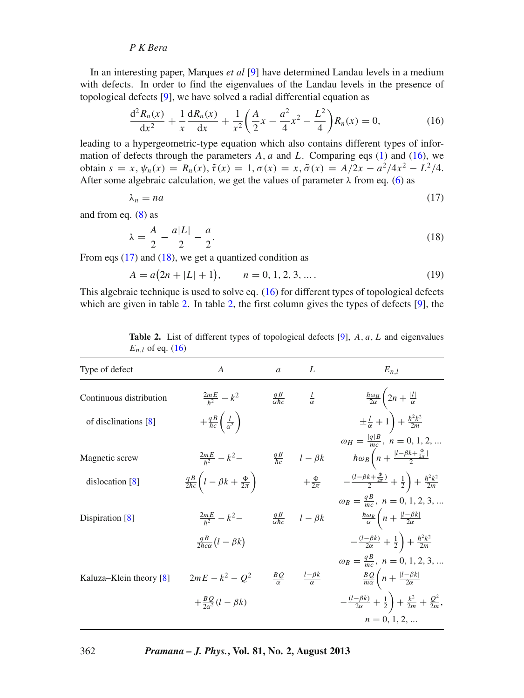## *P K Bera*

In an interesting paper, Marques *et al* [\[9](#page-4-6)] have determined Landau levels in a medium with defects. In order to find the eigenvalues of the Landau levels in the presence of topological defects [\[9](#page-4-6)], we have solved a radial differential equation as

<span id="page-3-0"></span>
$$
\frac{d^2 R_n(x)}{dx^2} + \frac{1}{x} \frac{dR_n(x)}{dx} + \frac{1}{x^2} \left( \frac{A}{2} x - \frac{a^2}{4} x^2 - \frac{L^2}{4} \right) R_n(x) = 0,
$$
 (16)

leading to a hypergeometric-type equation which also contains different types of information of defects through the parameters  $A$ ,  $a$  and  $L$ . Comparing eqs [\(1\)](#page-0-0) and [\(16\)](#page-3-0), we obtain  $s = x$ ,  $\psi_n(x) = R_n(x)$ ,  $\tilde{\tau}(x) = 1$ ,  $\sigma(x) = x$ ,  $\tilde{\sigma}(x) = A/2x - a^2/4x^2 - L^2/4$ . After some algebraic calculation, we get the values of parameter  $\lambda$  from eq. [\(6\)](#page-1-2) as

<span id="page-3-2"></span><span id="page-3-1"></span>
$$
\lambda_n = na \tag{17}
$$

and from eq.  $(8)$  as

$$
\lambda = \frac{A}{2} - \frac{a|L|}{2} - \frac{a}{2}.\tag{18}
$$

From eqs  $(17)$  and  $(18)$ , we get a quantized condition as

$$
A = a(2n + |L| + 1), \qquad n = 0, 1, 2, 3, \dots.
$$
 (19)

This algebraic technique is used to solve eq. [\(16\)](#page-3-0) for different types of topological defects which are given in table [2.](#page-3-3) In table [2,](#page-3-3) the first column gives the types of defects [\[9](#page-4-6)], the

<span id="page-3-3"></span>

| Type of defect            | A                                                           | $\mathfrak{a}$             | L                                          | $E_{n,l}$                                                                                                |
|---------------------------|-------------------------------------------------------------|----------------------------|--------------------------------------------|----------------------------------------------------------------------------------------------------------|
| Continuous distribution   | $\frac{2mE}{h^2} - k^2$                                     | $\frac{qB}{\alpha\hbar c}$ | $\frac{l}{\alpha}$                         | $\frac{\hbar\omega_H}{2\alpha}\left(2n+\frac{ l }{\alpha}\right)$                                        |
| of disclinations $[8]$    | $+\frac{qB}{\hbar c}\left(\frac{l}{\alpha^2}\right)$        |                            |                                            | $\pm\frac{l}{\alpha}+1\right)+\frac{\hbar^2k^2}{2m}$                                                     |
|                           |                                                             |                            |                                            | $\omega_H = \frac{ q B}{mc}$ , $n = 0, 1, 2, $                                                           |
| Magnetic screw            | $\frac{2mE}{h^2} - k^2 -$                                   |                            | $rac{qB}{hc}$ $l - \beta k$                | $\hbar\omega_B\left(n+\frac{ l-\beta k+\frac{\Phi}{2\pi} }{2}\right)$                                    |
| dislocation $[8]$         | $rac{qB}{2\hbar c}\left(l-\beta k+\frac{\Phi}{2\pi}\right)$ |                            |                                            | $+\frac{\Phi}{2\pi}$ $-\frac{(l-\beta k+\frac{\Phi}{2\pi})}{2}+\frac{1}{2}\bigg)+\frac{\hbar^2 k^2}{2m}$ |
|                           |                                                             |                            |                                            | $\omega_B = \frac{qB}{m}$ , $n = 0, 1, 2, 3, $                                                           |
| Dispiration $[8]$         | $\frac{2mE}{\hbar^2} - k^2 -$                               |                            | $\frac{qB}{\alpha\hbar c}$ $l - \beta k$   | $\frac{\hbar\omega_B}{\alpha}\left(n+\frac{ l-\beta k }{2\alpha}\right)$                                 |
|                           | $\frac{qB}{2bc\alpha}(l-\beta k)$                           |                            |                                            | $-\frac{(l-\beta k)}{2\alpha}+\frac{1}{2}\bigg)+\frac{\hbar^2 k^2}{2m}$                                  |
|                           |                                                             |                            |                                            | $\omega_B = \frac{qB}{mc}$ , $n = 0, 1, 2, 3, $                                                          |
| Kaluza–Klein theory $[8]$ | $2mE - k^2 - Q^2$                                           |                            | $rac{BQ}{\alpha}$ $rac{l-\beta k}{\alpha}$ | $rac{BQ}{m\alpha}\left(n+\frac{ l-\beta k }{2\alpha}\right)$                                             |
|                           | $+\frac{BQ}{2a^2}(l-\beta k)$                               |                            |                                            | $-\tfrac{(l-\beta k)}{2\alpha}+\tfrac{1}{2}\bigg)+\tfrac{k^2}{2m}+\tfrac{Q^2}{2m},$                      |
|                           |                                                             |                            |                                            | $n = 0, 1, 2, $                                                                                          |

**Table 2.** List of different types of topological defects [\[9](#page-4-6)], *A*, *a*, *L* and eigenvalues *En*,*<sup>l</sup>* of eq. [\(16\)](#page-3-0)

362 *Pramana – J. Phys.***, Vol. 81, No. 2, August 2013**